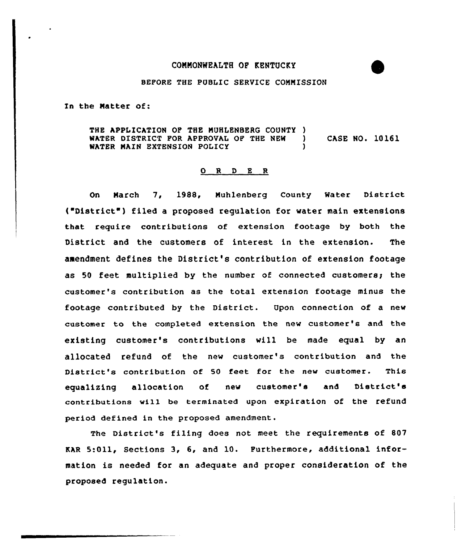## CONMONWEALTH OP KENTUCKY

## BEFORE THE PUBLIC SERVICE CONNISSION

In the Natter of:

THE APPLICATION OF THE MUHLENBERG COUNTY )<br>WATER DISTRICT FOR APPROVAL OF THE NEW ) WATER DISTRICT FOR APPROVAL OF THE NEW ) CASE NO. 10161 WATER MAIN EXTENSION POLICY

## 0 R <sup>D</sup> E <sup>R</sup>

On Narch 7, 1988, Muhlenberg County Water District ("District") filed a proposed requlation for water main extensions that require contributions of extension footage by both the District and the customers of interest in the extension. The amendment defines the District's contribution of extension footage as 50 feet multiplied by the number of connected customers; the customer's contribution as the total extension footage minus the footage contributed by the District. Upon connection of a new customer to the completed extension the new customer's and the existing customer's contributions will be made equal by an allocated refund of the new customer's contribution and the District's contribution of 50 feet for the new customer. This equalizing allocation of new customer's and District's contributions will be terminated upon expiration of the refund period defined in the proposed amendment.

The District's filing does not meet the requirements of 807 KAR 5:Oil, Sections 3, 6, and 10. Furthermore, additional information is needed for an adequate and proper consideration of the proposed regulation.